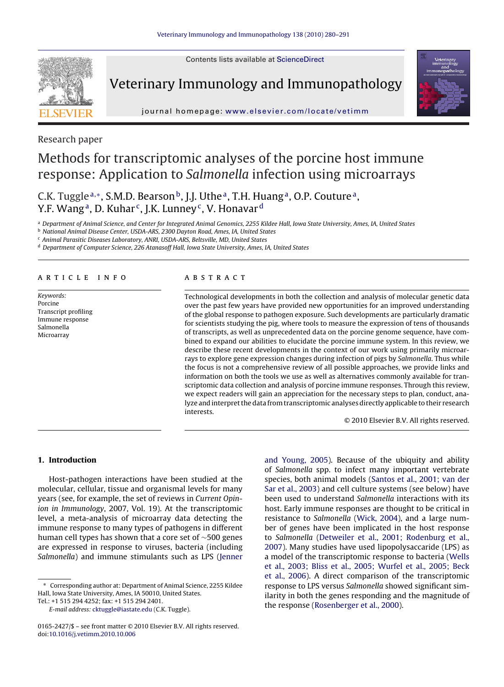Contents lists available at [ScienceDirect](http://www.sciencedirect.com/science/journal/01652427)



Veterinary Immunology and Immunopathology



journal homepage: [www.elsevier.com/locate/vetimm](http://www.elsevier.com/locate/vetimm)

Research paper

# Methods for transcriptomic analyses of the porcine host immune response: Application to Salmonella infection using microarrays

C.K. Tuggle<sup>a,∗</sup>, S.M.D. Bearson<sup>b</sup>, J.J. Uthe<sup>a</sup>, T.H. Huang<sup>a</sup>, O.P. Couture<sup>a</sup>, Y.F. Wang<sup>a</sup>, D. Kuhar<sup>c</sup>, J.K. Lunney<sup>c</sup>, V. Honavar<sup>d</sup>

<sup>a</sup> Department of Animal Science, and Center for Integrated Animal Genomics, 2255 Kildee Hall, Iowa State University, Ames, IA, United States

<sup>b</sup> National Animal Disease Center, USDA-ARS, 2300 Dayton Road, Ames, IA, United States

<sup>c</sup> Animal Parasitic Diseases Laboratory, ANRI, USDA-ARS, Beltsville, MD, United States

<sup>d</sup> Department of Computer Science, 226 Atanasoff Hall, Iowa State University, Ames, IA, United States

#### article info

Keywords: Porcine Transcript profiling Immune response Salmonella Microarray

#### **ABSTRACT**

Technological developments in both the collection and analysis of molecular genetic data over the past few years have provided new opportunities for an improved understanding of the global response to pathogen exposure. Such developments are particularly dramatic for scientists studying the pig, where tools to measure the expression of tens of thousands of transcripts, as well as unprecedented data on the porcine genome sequence, have combined to expand our abilities to elucidate the porcine immune system. In this review, we describe these recent developments in the context of our work using primarily microarrays to explore gene expression changes during infection of pigs by Salmonella. Thus while the focus is not a comprehensive review of all possible approaches, we provide links and information on both the tools we use as well as alternatives commonly available for transcriptomic data collection and analysis of porcine immune responses. Through this review, we expect readers will gain an appreciation for the necessary steps to plan, conduct, analyze and interpret the data from transcriptomic analyses directly applicable to their research interests.

© 2010 Elsevier B.V. All rights reserved.

#### **1. Introduction**

Host-pathogen interactions have been studied at the molecular, cellular, tissue and organismal levels for many years (see, for example, the set of reviews in Current Opinion in Immunology, 2007, Vol. 19). At the transcriptomic level, a meta-analysis of microarray data detecting the immune response to many types of pathogens in different human cell types has shown that a core set of ∼500 genes are expressed in response to viruses, bacteria (including Salmonella) and immune stimulants such as LPS [\(Jenner](#page-9-0)

Corresponding author at: Department of Animal Science, 2255 Kildee Hall, Iowa State University, Ames, IA 50010, United States.

Tel.: +1 515 294 4252; fax: +1 515 294 2401.

[and Young, 2005\).](#page-9-0) Because of the ubiquity and ability of Salmonella spp. to infect many important vertebrate species, both animal models [\(Santos et al., 2001; van der](#page-10-0) [Sar et al., 2003\)](#page-10-0) and cell culture systems (see below) have been used to understand Salmonella interactions with its host. Early immune responses are thought to be critical in resistance to Salmonella ([Wick, 2004\),](#page-11-0) and a large number of genes have been implicated in the host response to Salmonella [\(Detweiler et al., 2001; Rodenburg et al.,](#page-9-0) [2007\).](#page-9-0) Many studies have used lipopolysaccaride (LPS) as a model of the transcriptomic response to bacteria ([Wells](#page-11-0) [et al., 2003; Bliss et al., 2005; Wurfel et al., 2005; Beck](#page-11-0) [et al., 2006\).](#page-11-0) A direct comparison of the transcriptomic response to LPS versus Salmonella showed significant similarity in both the genes responding and the magnitude of the response ([Rosenberger et al., 2000\).](#page-10-0)

E-mail address: [cktuggle@iastate.edu](mailto:cktuggle@iastate.edu) (C.K. Tuggle).

<sup>0165-2427/\$ –</sup> see front matter © 2010 Elsevier B.V. All rights reserved. doi:[10.1016/j.vetimm.2010.10.006](dx.doi.org/10.1016/j.vetimm.2010.10.006)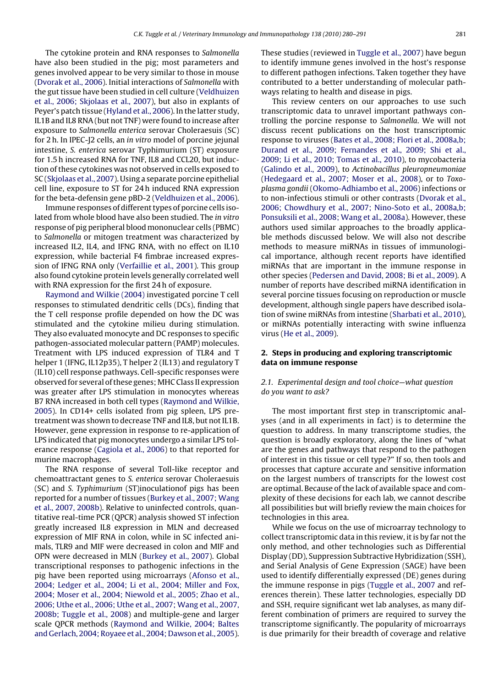The cytokine protein and RNA responses to Salmonella have also been studied in the pig; most parameters and genes involved appear to be very similar to those in mouse [\(Dvorak et al., 2006\).](#page-9-0) Initial interactions of Salmonella with the gut tissue have been studied in cell culture [\(Veldhuizen](#page-10-0) [et al., 2006; Skjolaas et al., 2007\),](#page-10-0) but also in explants of Peyer's patch tissue [\(Hyland et al., 2006\).](#page-9-0) In the latter study, IL1B and IL8 RNA (but not TNF) were found to increase after exposure to Salmonella enterica serovar Choleraesuis (SC) for 2 h. In IPEC-J2 cells, an in vitro model of porcine jejunal intestine, S. enterica serovar Typhimurium (ST) exposure for 1.5 h increased RNA for TNF, IL8 and CCL20, but induction of these cytokines was not observed in cells exposed to SC [\(Skjolaas et al., 2007\).](#page-10-0) Using a separate porcine epithelial cell line, exposure to ST for 24 h induced RNA expression for the beta-defensin gene pBD-2 ([Veldhuizen et al., 2006\).](#page-10-0)

Immune responses of different types of porcine cells isolated from whole blood have also been studied. The in vitro response of pig peripheral blood mononuclear cells (PBMC) to Salmonella or mitogen treatment was characterized by increased IL2, IL4, and IFNG RNA, with no effect on IL10 expression, while bacterial F4 fimbrae increased expression of IFNG RNA only ([Verfaillie et al., 2001\).](#page-10-0) This group also found cytokine protein levels generally correlated well with RNA expression for the first 24 h of exposure.

[Raymond and Wilkie \(2004\)](#page-10-0) investigated porcine T cell responses to stimulated dendritic cells (DCs), finding that the T cell response profile depended on how the DC was stimulated and the cytokine milieu during stimulation. They also evaluated monocyte and DC responses to specific pathogen-associated molecular pattern (PAMP) molecules. Treatment with LPS induced expression of TLR4 and T helper 1 (IFNG, IL12p35), T helper 2 (IL13) and regulatory T (IL10) cell response pathways. Cell-specific responses were observed for several of these genes; MHC Class II expression was greater after LPS stimulation in monocytes whereas B7 RNA increased in both cell types ([Raymond and Wilkie,](#page-10-0) [2005\).](#page-10-0) In CD14+ cells isolated from pig spleen, LPS pretreatment was shown to decrease TNF and IL8, but not IL1B. However, gene expression in response to re-application of LPS indicated that pig monocytes undergo a similar LPS tolerance response [\(Cagiola et al., 2006\)](#page-9-0) to that reported for murine macrophages.

The RNA response of several Toll-like receptor and chemoattractant genes to S. enterica serovar Choleraesuis (SC) and S. Typhimurium (ST)inoculationof pigs has been reported for a number of tissues [\(Burkey et al., 2007; Wang](#page-9-0) [et al., 2007, 2008b\).](#page-9-0) Relative to uninfected controls, quantitative real-time PCR (QPCR) analysis showed ST infection greatly increased IL8 expression in MLN and decreased expression of MIF RNA in colon, while in SC infected animals, TLR9 and MIF were decreased in colon and MIF and OPN were decreased in MLN ([Burkey et al., 2007\).](#page-9-0) Global transcriptional responses to pathogenic infections in the pig have been reported using microarrays ([Afonso et al.,](#page-9-0) [2004; Ledger et al., 2004; Li et al., 2004; Miller and Fox,](#page-9-0) [2004; Moser et al., 2004; Niewold et al., 2005; Zhao et al.,](#page-9-0) [2006; Uthe et al., 2006; Uthe et al., 2007; Wang et al., 2007,](#page-9-0) [2008b; Tuggle et al., 2008\)](#page-9-0) and multiple-gene and larger scale QPCR methods [\(Raymond and Wilkie, 2004; Baltes](#page-10-0) [and Gerlach, 2004; Royaee et al., 2004; Dawson et al., 2005\).](#page-10-0) These studies (reviewed in [Tuggle et al., 2007\) h](#page-10-0)ave begun to identify immune genes involved in the host's response to different pathogen infections. Taken together they have contributed to a better understanding of molecular pathways relating to health and disease in pigs.

This review centers on our approaches to use such transcriptomic data to unravel important pathways controlling the porcine response to Salmonella. We will not discuss recent publications on the host transcriptomic response to viruses [\(Bates et al., 2008; Flori et al., 2008a,b;](#page-9-0) [Durand et al., 2009; Fernandes et al., 2009; Shi et al.,](#page-9-0) [2009; Li et al., 2010; Tomas et al., 2010\),](#page-9-0) to mycobacteria [\(Galindo et al., 2009\),](#page-9-0) to Actinobacillus pleuropneumoniae [\(Hedegaard et al., 2007; Moser et al., 2008\),](#page-9-0) or to Toxoplasma gondii [\(Okomo-Adhiambo et al., 2006\)](#page-10-0) infections or to non-infectious stimuli or other contrasts [\(Dvorak et al.,](#page-9-0) [2006; Chowdhury et al., 2007; Nino-Soto et al., 2008a,b;](#page-9-0) [Ponsuksili et al., 2008; Wang et al., 2008a\).](#page-9-0) However, these authors used similar approaches to the broadly applicable methods discussed below. We will also not describe methods to measure miRNAs in tissues of immunological importance, although recent reports have identified miRNAs that are important in the immune response in other species [\(Pedersen and David, 2008; Bi et al., 2009\).](#page-10-0) A number of reports have described miRNA identification in several porcine tissues focusing on reproduction or muscle development, although single papers have described isolation of swine miRNAs from intestine [\(Sharbati et al., 2010\),](#page-10-0) or miRNAs potentially interacting with swine influenza virus ([He et al., 2009\).](#page-9-0)

### **2. Steps in producing and exploring transcriptomic data on immune response**

### 2.1. Experimental design and tool choice—what question do you want to ask?

The most important first step in transcriptomic analyses (and in all experiments in fact) is to determine the question to address. In many transcriptome studies, the question is broadly exploratory, along the lines of "what are the genes and pathways that respond to the pathogen of interest in this tissue or cell type?" If so, then tools and processes that capture accurate and sensitive information on the largest numbers of transcripts for the lowest cost are optimal. Because of the lack of available space and complexity of these decisions for each lab, we cannot describe all possibilities but will briefly review the main choices for technologies in this area.

While we focus on the use of microarray technology to collect transcriptomic data in this review, it is by far not the only method, and other technologies such as Differential Display (DD), Suppression Subtractive Hybridization (SSH), and Serial Analysis of Gene Expression (SAGE) have been used to identify differentially expressed (DE) genes during the immune response in pigs [\(Tuggle et al., 2007](#page-10-0) and references therein). These latter technologies, especially DD and SSH, require significant wet lab analyses, as many different combination of primers are required to survey the transcriptome significantly. The popularity of microarrays is due primarily for their breadth of coverage and relative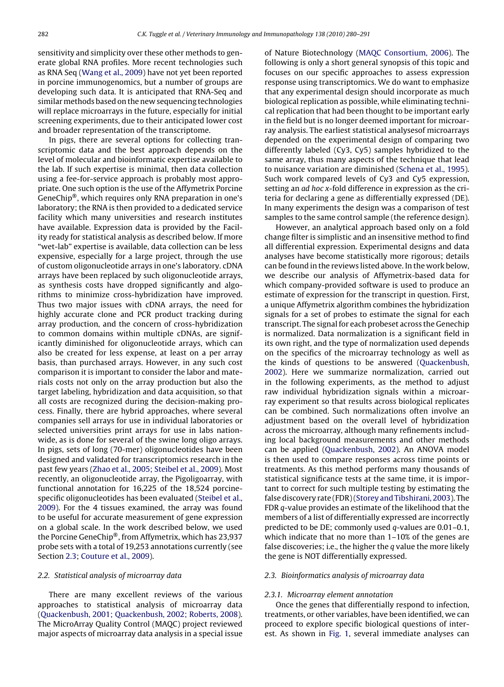<span id="page-2-0"></span>sensitivity and simplicity over these other methods to generate global RNA profiles. More recent technologies such as RNA Seq [\(Wang et al., 2009\)](#page-10-0) have not yet been reported in porcine immunogenomics, but a number of groups are developing such data. It is anticipated that RNA-Seq and similar methods based on the new sequencing technologies will replace microarrays in the future, especially for initial screening experiments, due to their anticipated lower cost and broader representation of the transcriptome.

In pigs, there are several options for collecting transcriptomic data and the best approach depends on the level of molecular and bioinformatic expertise available to the lab. If such expertise is minimal, then data collection using a fee-for-service approach is probably most appropriate. One such option is the use of the Affymetrix Porcine GeneChip®, which requires only RNA preparation in one's laboratory; the RNA is then provided to a dedicated service facility which many universities and research institutes have available. Expression data is provided by the Facility ready for statistical analysis as described below. If more "wet-lab" expertise is available, data collection can be less expensive, especially for a large project, through the use of custom oligonucleotide arrays in one's laboratory. cDNA arrays have been replaced by such oligonucleotide arrays, as synthesis costs have dropped significantly and algorithms to minimize cross-hybridization have improved. Thus two major issues with cDNA arrays, the need for highly accurate clone and PCR product tracking during array production, and the concern of cross-hybridization to common domains within multiple cDNAs, are significantly diminished for oligonucleotide arrays, which can also be created for less expense, at least on a per array basis, than purchased arrays. However, in any such cost comparison it is important to consider the labor and materials costs not only on the array production but also the target labeling, hybridization and data acquisition, so that all costs are recognized during the decision-making process. Finally, there are hybrid approaches, where several companies sell arrays for use in individual laboratories or selected universities print arrays for use in labs nationwide, as is done for several of the swine long oligo arrays. In pigs, sets of long (70-mer) oligonucleotides have been designed and validated for transcriptomics research in the past few years [\(Zhao et al., 2005; Steibel et al., 2009\).](#page-11-0) Most recently, an oligonucleotide array, the Pigoligoarray, with functional annotation for 16,225 of the 18,524 porcinespecific oligonucleotides has been evaluated [\(Steibel et al.,](#page-10-0) [2009\).](#page-10-0) For the 4 tissues examined, the array was found to be useful for accurate measurement of gene expression on a global scale. In the work described below, we used the Porcine GeneChip®, from Affymetrix, which has 23,937 probe sets with a total of 19,253 annotations currently (see Section 2.3; [Couture et al., 2009\).](#page-9-0)

#### 2.2. Statistical analysis of microarray data

There are many excellent reviews of the various approaches to statistical analysis of microarray data [\(Quackenbush, 2001; Quackenbush, 2002; Roberts, 2008\).](#page-10-0) The MicroArray Quality Control (MAQC) project reviewed major aspects of microarray data analysis in a special issue

of Nature Biotechnology ([MAQC Consortium, 2006\).](#page-10-0) The following is only a short general synopsis of this topic and focuses on our specific approaches to assess expression response using transcriptomics. We do want to emphasize that any experimental design should incorporate as much biological replication as possible, while eliminating technical replication that had been thought to be important early in the field but is no longer deemed important for microarray analysis. The earliest statistical analysesof microarrays depended on the experimental design of comparing two differently labeled (Cy3, Cy5) samples hybridized to the same array, thus many aspects of the technique that lead to nuisance variation are diminished [\(Schena et al., 1995\).](#page-10-0) Such work compared levels of Cy3 and Cy5 expression, setting an ad hoc x-fold difference in expression as the criteria for declaring a gene as differentially expressed (DE). In many experiments the design was a comparison of test samples to the same control sample (the reference design).

However, an analytical approach based only on a fold change filter is simplistic and an insensitive method to find all differential expression. Experimental designs and data analyses have become statistically more rigorous; details can be found in the reviews listed above. In the work below, we describe our analysis of Affymetrix-based data for which company-provided software is used to produce an estimate of expression for the transcript in question. First, a unique Affymetrix algorithm combines the hybridization signals for a set of probes to estimate the signal for each transcript. The signal for each probeset across the Genechip is normalized. Data normalization is a significant field in its own right, and the type of normalization used depends on the specifics of the microarray technology as well as the kinds of questions to be answered ([Quackenbush,](#page-10-0) [2002\).](#page-10-0) Here we summarize normalization, carried out in the following experiments, as the method to adjust raw individual hybridization signals within a microarray experiment so that results across biological replicates can be combined. Such normalizations often involve an adjustment based on the overall level of hybridization across the microarray, although many refinements including local background measurements and other methods can be applied [\(Quackenbush, 2002\).](#page-10-0) An ANOVA model is then used to compare responses across time points or treatments. As this method performs many thousands of statistical significance tests at the same time, it is important to correct for such multiple testing by estimating the false discovery rate (FDR) ([Storey and Tibshirani, 2003\).](#page-10-0) The FDR q-value provides an estimate of the likelihood that the members of a list of differentially expressed are incorrectly predicted to be DE; commonly used q-values are 0.01-0.1, which indicate that no more than 1–10% of the genes are false discoveries; i.e., the higher the q value the more likely the gene is NOT differentially expressed.

#### 2.3. Bioinformatics analysis of microarray data

#### 2.3.1. Microarray element annotation

Once the genes that differentially respond to infection, treatments, or other variables, have been identified, we can proceed to explore specific biological questions of interest. As shown in [Fig. 1,](#page-3-0) several immediate analyses can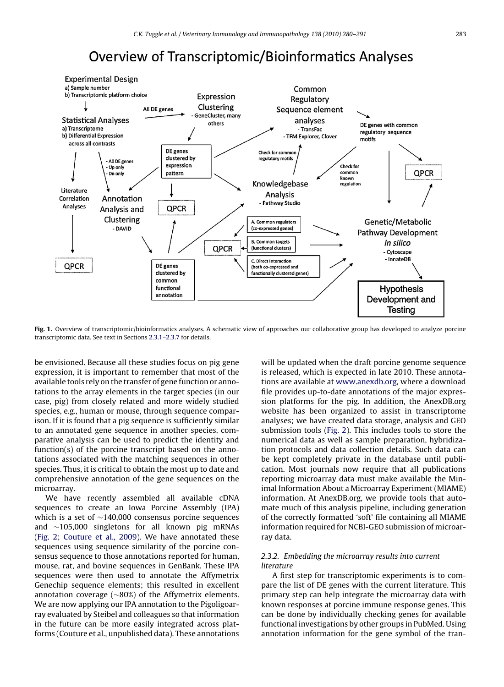# **Overview of Transcriptomic/Bioinformatics Analyses**

<span id="page-3-0"></span>

**Fig. 1.** Overview of transcriptomic/bioinformatics analyses. A schematic view of approaches our collaborative group has developed to analyze porcine transcriptomic data. See text in Sections [2.3.1–2.3.7](#page-2-0) for details.

be envisioned. Because all these studies focus on pig gene expression, it is important to remember that most of the available tools rely on the transfer of gene function or annotations to the array elements in the target species (in our case, pig) from closely related and more widely studied species, e.g., human or mouse, through sequence comparison. If it is found that a pig sequence is sufficiently similar to an annotated gene sequence in another species, comparative analysis can be used to predict the identity and function(s) of the porcine transcript based on the annotations associated with the matching sequences in other species. Thus, it is critical to obtain the most up to date and comprehensive annotation of the gene sequences on the microarray.

We have recently assembled all available cDNA sequences to create an Iowa Porcine Assembly (IPA) which is a set of ∼140,000 consensus porcine sequences and ∼105,000 singletons for all known pig mRNAs [\(Fig. 2;](#page-4-0) [Couture et al., 2009\).](#page-9-0) We have annotated these sequences using sequence similarity of the porcine consensus sequence to those annotations reported for human, mouse, rat, and bovine sequences in GenBank. These IPA sequences were then used to annotate the Affymetrix Genechip sequence elements; this resulted in excellent annotation coverage (∼80%) of the Affymetrix elements. We are now applying our IPA annotation to the Pigoligoarray evaluated by Steibel and colleagues so that information in the future can be more easily integrated across platforms (Couture et al., unpublished data). These annotations will be updated when the draft porcine genome sequence is released, which is expected in late 2010. These annotations are available at [www.anexdb.org,](http://www.anexdb.org/) where a download file provides up-to-date annotations of the major expression platforms for the pig. In addition, the AnexDB.org website has been organized to assist in transcriptome analyses; we have created data storage, analysis and GEO submission tools [\(Fig. 2\).](#page-4-0) This includes tools to store the numerical data as well as sample preparation, hybridization protocols and data collection details. Such data can be kept completely private in the database until publication. Most journals now require that all publications reporting microarray data must make available the Minimal Information About a Microarray Experiment (MIAME) information. At AnexDB.org, we provide tools that automate much of this analysis pipeline, including generation of the correctly formatted 'soft' file containing all MIAME information required for NCBI-GEO submission of microarray data.

#### 2.3.2. Embedding the microarray results into current literature

A first step for transcriptomic experiments is to compare the list of DE genes with the current literature. This primary step can help integrate the microarray data with known responses at porcine immune response genes. This can be done by individually checking genes for available functional investigations by other groups in PubMed. Using annotation information for the gene symbol of the tran-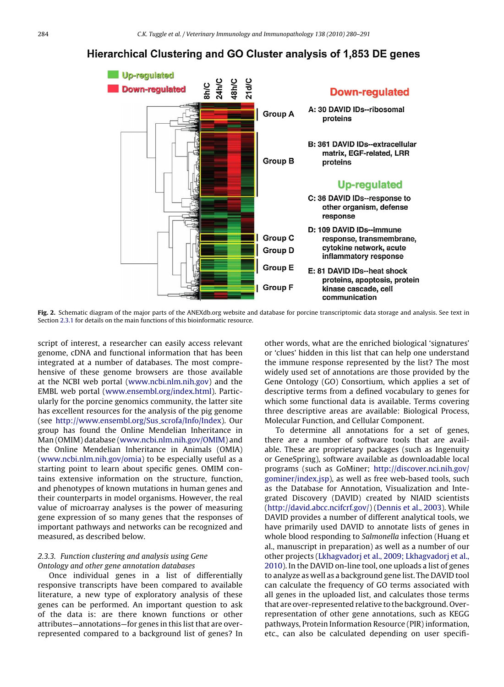## <span id="page-4-0"></span>Hierarchical Clustering and GO Cluster analysis of 1,853 DE genes



**Fig. 2.** Schematic diagram of the major parts of the ANEXdb.org website and database for porcine transcriptomic data storage and analysis. See text in Section [2.3.1](#page-2-0) for details on the main functions of this bioinformatic resource.

script of interest, a researcher can easily access relevant genome, cDNA and functional information that has been integrated at a number of databases. The most comprehensive of these genome browsers are those available at the NCBI web portal ([www.ncbi.nlm.nih.gov\)](http://www.ncbi.nlm.nih.gov/) and the EMBL web portal ([www.ensembl.org/index.html\)](http://www.ensembl.org/index.html). Particularly for the porcine genomics community, the latter site has excellent resources for the analysis of the pig genome (see [http://www.ensembl.org/Sus](http://www.ensembl.org/Sus_scrofa/Info/Index) scrofa/Info/Index). Our group has found the Online Mendelian Inheritance in Man (OMIM) database ([www.ncbi.nlm.nih.gov/OMIM](http://www.ncbi.nlm.nih.gov/OMIM)) and the Online Mendelian Inheritance in Animals (OMIA) [\(www.ncbi.nlm.nih.gov/omia\)](http://www.ncbi.nlm.nih.gov/omia) to be especially useful as a starting point to learn about specific genes. OMIM contains extensive information on the structure, function, and phenotypes of known mutations in human genes and their counterparts in model organisms. However, the real value of microarray analyses is the power of measuring gene expression of so many genes that the responses of important pathways and networks can be recognized and measured, as described below.

#### 2.3.3. Function clustering and analysis using Gene Ontology and other gene annotation databases

Once individual genes in a list of differentially responsive transcripts have been compared to available literature, a new type of exploratory analysis of these genes can be performed. An important question to ask of the data is: are there known functions or other attributes—annotations—for genes in this list that are overrepresented compared to a background list of genes? In other words, what are the enriched biological 'signatures' or 'clues' hidden in this list that can help one understand the immune response represented by the list? The most widely used set of annotations are those provided by the Gene Ontology (GO) Consortium, which applies a set of descriptive terms from a defined vocabulary to genes for which some functional data is available. Terms covering three descriptive areas are available: Biological Process, Molecular Function, and Cellular Component.

To determine all annotations for a set of genes, there are a number of software tools that are available. These are proprietary packages (such as Ingenuity or GeneSpring), software available as downloadable local programs (such as GoMiner; [http://discover.nci.nih.gov/](http://discover.nci.nih.gov/gominer/index.jsp) gominer/index.jsp), as well as free web-based tools, such as the Database for Annotation, Visualization and Integrated Discovery (DAVID) created by NIAID scientists [\(http://david.abcc.ncifcrf.gov/\)](http://david.abcc.ncifcrf.gov/) [\(Dennis et al., 2003\).](#page-9-0) While DAVID provides a number of different analytical tools, we have primarily used DAVID to annotate lists of genes in whole blood responding to Salmonella infection (Huang et al., manuscript in preparation) as well as a number of our other projects [\(Lkhagvadorj et al., 2009; Lkhagvadorj et al.,](#page-10-0) [2010\).](#page-10-0) In the DAVID on-line tool, one uploads a list of genes to analyze as well as a background gene list. The DAVID tool can calculate the frequency of GO terms associated with all genes in the uploaded list, and calculates those terms that are over-represented relative to the background. Overrepresentation of other gene annotations, such as KEGG pathways, Protein Information Resource (PIR) information, etc., can also be calculated depending on user specifi-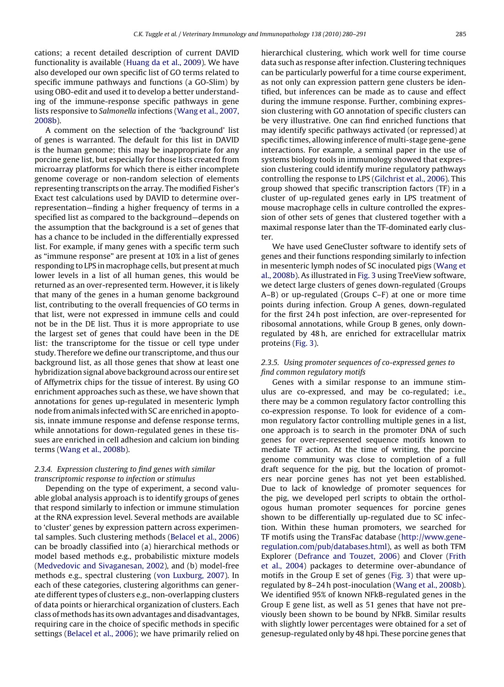cations; a recent detailed description of current DAVID functionality is available ([Huang da et al., 2009\).](#page-9-0) We have also developed our own specific list of GO terms related to specific immune pathways and functions (a GO-Slim) by using OBO-edit and used it to develop a better understanding of the immune-response specific pathways in gene lists responsive to Salmonella infections [\(Wang et al., 2007,](#page-10-0) [2008b\).](#page-10-0)

A comment on the selection of the 'background' list of genes is warranted. The default for this list in DAVID is the human genome; this may be inappropriate for any porcine gene list, but especially for those lists created from microarray platforms for which there is either incomplete genome coverage or non-random selection of elements representing transcripts on the array. The modified Fisher's Exact test calculations used by DAVID to determine overrepresentation—finding a higher frequency of terms in a specified list as compared to the background—depends on the assumption that the background is a set of genes that has a chance to be included in the differentially expressed list. For example, if many genes with a specific term such as "immune response" are present at 10% in a list of genes responding to LPS in macrophage cells, but present at much lower levels in a list of all human genes, this would be returned as an over-represented term. However, it is likely that many of the genes in a human genome background list, contributing to the overall frequencies of GO terms in that list, were not expressed in immune cells and could not be in the DE list. Thus it is more appropriate to use the largest set of genes that could have been in the DE list: the transcriptome for the tissue or cell type under study. Therefore we define our transcriptome, and thus our background list, as all those genes that show at least one hybridization signal above background across our entire set of Affymetrix chips for the tissue of interest. By using GO enrichment approaches such as these, we have shown that annotations for genes up-regulated in mesenteric lymph node from animals infected with SC are enriched in apoptosis, innate immune response and defense response terms, while annotations for down-regulated genes in these tissues are enriched in cell adhesion and calcium ion binding terms ([Wang et al., 2008b\).](#page-10-0)

#### 2.3.4. Expression clustering to find genes with similar transcriptomic response to infection or stimulus

Depending on the type of experiment, a second valuable global analysis approach is to identify groups of genes that respond similarly to infection or immune stimulation at the RNA expression level. Several methods are available to 'cluster' genes by expression pattern across experimental samples. Such clustering methods [\(Belacel et al., 2006\)](#page-9-0) can be broadly classified into (a) hierarchical methods or model based methods e.g., probabilistic mixture models [\(Medvedovic and Sivaganesan, 2002\),](#page-10-0) and (b) model-free methods e.g., spectral clustering ([von Luxburg, 2007\).](#page-10-0) In each of these categories, clustering algorithms can generate different types of clusters e.g., non-overlapping clusters of data points or hierarchical organization of clusters. Each class ofmethods has its own advantages and disadvantages, requiring care in the choice of specific methods in specific settings ([Belacel et al., 2006\);](#page-9-0) we have primarily relied on hierarchical clustering, which work well for time course data such as response after infection. Clustering techniques can be particularly powerful for a time course experiment, as not only can expression pattern gene clusters be identified, but inferences can be made as to cause and effect during the immune response. Further, combining expression clustering with GO annotation of specific clusters can be very illustrative. One can find enriched functions that may identify specific pathways activated (or repressed) at specific times, allowing inference of multi-stage gene-gene interactions. For example, a seminal paper in the use of systems biology tools in immunology showed that expression clustering could identify murine regulatory pathways controlling the response to LPS ([Gilchrist et al., 2006\).](#page-9-0) This group showed that specific transcription factors (TF) in a cluster of up-regulated genes early in LPS treatment of mouse macrophage cells in culture controlled the expression of other sets of genes that clustered together with a maximal response later than the TF-dominated early cluster.

We have used GeneCluster software to identify sets of genes and their functions responding similarly to infection in mesenteric lymph nodes of SC inoculated pigs ([Wang et](#page-10-0) [al., 2008b\).](#page-10-0) As illustrated in [Fig. 3](#page-6-0) using TreeView software, we detect large clusters of genes down-regulated (Groups A–B) or up-regulated (Groups C–F) at one or more time points during infection. Group A genes, down-regulated for the first 24 h post infection, are over-represented for ribosomal annotations, while Group B genes, only downregulated by 48 h, are enriched for extracellular matrix proteins [\(Fig. 3\).](#page-6-0)

### 2.3.5. Using promoter sequences of co-expressed genes to find common regulatory motifs

Genes with a similar response to an immune stimulus are co-expressed, and may be co-regulated; i.e., there may be a common regulatory factor controlling this co-expression response. To look for evidence of a common regulatory factor controlling multiple genes in a list, one approach is to search in the promoter DNA of such genes for over-represented sequence motifs known to mediate TF action. At the time of writing, the porcine genome community was close to completion of a full draft sequence for the pig, but the location of promoters near porcine genes has not yet been established. Due to lack of knowledge of promoter sequences for the pig, we developed perl scripts to obtain the orthologous human promoter sequences for porcine genes shown to be differentially up-regulated due to SC infection. Within these human promoters, we searched for TF motifs using the TransFac database ([http://www.gene](http://www.gene-regulation.com/pub/databases.html)regulation.com/pub/databases.html), as well as both TFM Explorer ([Defrance and Touzet, 2006\)](#page-9-0) and Clover [\(Frith](#page-9-0) [et al., 2004\)](#page-9-0) packages to determine over-abundance of motifs in the Group E set of genes ([Fig. 3\)](#page-6-0) that were upregulated by 8–24 h post-inoculation ([Wang et al., 2008b\).](#page-10-0) We identified 95% of known NFkB-regulated genes in the Group E gene list, as well as 51 genes that have not previously been shown to be bound by NFkB. Similar results with slightly lower percentages were obtained for a set of genesup-regulated only by 48 hpi. These porcine genes that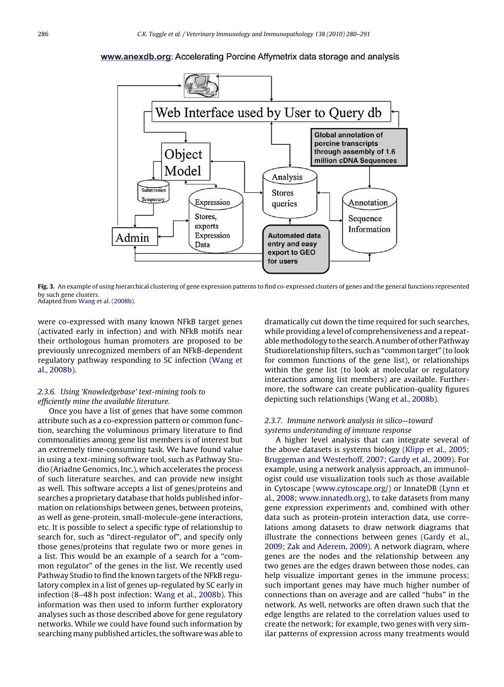### <span id="page-6-0"></span>www.anexdb.org: Accelerating Porcine Affymetrix data storage and analysis



**Fig. 3.** An example of using hierarchical clustering of gene expression patterns to find co-expressed clusters of genes and the general functions represented by such gene clusters. Adapted from [Wang et al. \(2008b\).](#page-10-0)

were co-expressed with many known NFkB target genes (activated early in infection) and with NFkB motifs near their orthologous human promoters are proposed to be previously unrecognized members of an NFkB-dependent regulatory pathway responding to SC infection [\(Wang et](#page-10-0) [al., 2008b\).](#page-10-0)

### 2.3.6. Using 'Knowledgebase' text-mining tools to efficiently mine the available literature.

Once you have a list of genes that have some common attribute such as a co-expression pattern or common function, searching the voluminous primary literature to find commonalities among gene list members is of interest but an extremely time-consuming task. We have found value in using a text-mining software tool, such as Pathway Studio (Ariadne Genomics, Inc.), which accelerates the process of such literature searches, and can provide new insight as well. This software accepts a list of genes/proteins and searches a proprietary database that holds published information on relationships between genes, between proteins, as well as gene-protein, small-molecule-gene interactions, etc. It is possible to select a specific type of relationship to search for, such as "direct-regulator of", and specify only those genes/proteins that regulate two or more genes in a list. This would be an example of a search for a "common regulator" of the genes in the list. We recently used Pathway Studio to find the known targets of the NFkB regulatory complex in a list of genes up-regulated by SC early in infection (8–48 h post infection: [Wang et al., 2008b\).](#page-10-0) This information was then used to inform further exploratory analyses such as those described above for gene regulatory networks. While we could have found such information by searching many published articles, the software was able to

dramatically cut down the time required for such searches, while providing a level of comprehensiveness and a repeatable methodology to the search. A number of other Pathway Studiorelationship filters, such as "common target" (to look for common functions of the gene list), or relationships within the gene list (to look at molecular or regulatory interactions among list members) are available. Furthermore, the software can create publication-quality figures depicting such relationships [\(Wang et al., 2008b\).](#page-10-0)

#### 2.3.7. Immune network analysis in silico—toward systems understanding of immune response

A higher level analysis that can integrate several of the above datasets is systems biology [\(Klipp et al., 2005;](#page-9-0) [Bruggeman and Westerhoff, 2007; Gardy et al., 2009\).](#page-9-0) For example, using a network analysis approach, an immunologist could use visualization tools such as those available in Cytoscape [\(www.cytoscape.org/\)](http://www.cytoscape.org/) or InnateDB [\(Lynn et](#page-10-0) [al., 2008;](#page-10-0) [www.innatedb.org](http://www.innatedb.org/)), to take datasets from many gene expression experiments and, combined with other data such as protein-protein interaction data, use correlations among datasets to draw network diagrams that illustrate the connections between genes ([Gardy et al.,](#page-9-0) [2009; Zak and Aderem, 2009\).](#page-9-0) A network diagram, where genes are the nodes and the relationship between any two genes are the edges drawn between those nodes, can help visualize important genes in the immune process; such important genes may have much higher number of connections than on average and are called "hubs" in the network. As well, networks are often drawn such that the edge lengths are related to the correlation values used to create the network; for example, two genes with very similar patterns of expression across many treatments would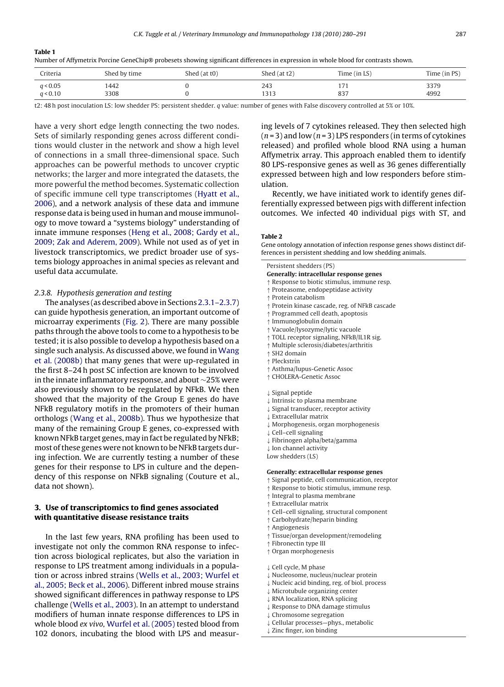<span id="page-7-0"></span>**Table 1**

|  |  | Number of Affymetrix Porcine GeneChip® probesets showing significant differences in expression in whole blood for contrasts shown. |
|--|--|------------------------------------------------------------------------------------------------------------------------------------|
|--|--|------------------------------------------------------------------------------------------------------------------------------------|

| Criteria             | Shed by time | Shed (at t0) | Shed $(at t2)$ | Time (in LS) | Time (in PS) |
|----------------------|--------------|--------------|----------------|--------------|--------------|
| q < 0.05<br>q < 0.10 | 1442<br>3308 |              | 243<br>1313    | 837          | 3379<br>4992 |

t2: 48 h post inoculation LS: low shedder PS: persistent shedder. q value: number of genes with False discovery controlled at 5% or 10%.

have a very short edge length connecting the two nodes. Sets of similarly responding genes across different conditions would cluster in the network and show a high level of connections in a small three-dimensional space. Such approaches can be powerful methods to uncover cryptic networks; the larger and more integrated the datasets, the more powerful the method becomes. Systematic collection of specific immune cell type transcriptomes ([Hyatt et al.,](#page-9-0) [2006\),](#page-9-0) and a network analysis of these data and immune response data is being used in human and mouse immunology to move toward a "systems biology" understanding of innate immune responses [\(Heng et al., 2008; Gardy et al.,](#page-9-0) [2009; Zak and Aderem, 2009\).](#page-9-0) While not used as of yet in livestock transcriptomics, we predict broader use of systems biology approaches in animal species as relevant and useful data accumulate.

#### 2.3.8. Hypothesis generation and testing

The analyses (as described above in Sections [2.3.1–2.3.7\)](#page-2-0) can guide hypothesis generation, an important outcome of microarray experiments ([Fig. 2\).](#page-4-0) There are many possible paths through the above tools to come to a hypothesis to be tested; it is also possible to develop a hypothesis based on a single such analysis. As discussed above, we found in [Wang](#page-10-0) [et al. \(2008b\)](#page-10-0) that many genes that were up-regulated in the first 8–24 h post SC infection are known to be involved in the innate inflammatory response, and about ∼25% were also previously shown to be regulated by NFkB. We then showed that the majority of the Group E genes do have NFkB regulatory motifs in the promoters of their human orthologs [\(Wang et al., 2008b\).](#page-10-0) Thus we hypothesize that many of the remaining Group E genes, co-expressed with known NFkB target genes, may in fact be regulated by NFkB; most of these genes were not known to be NFkB targets during infection. We are currently testing a number of these genes for their response to LPS in culture and the dependency of this response on NFkB signaling (Couture et al., data not shown).

#### **3. Use of transcriptomics to find genes associated with quantitative disease resistance traits**

In the last few years, RNA profiling has been used to investigate not only the common RNA response to infection across biological replicates, but also the variation in response to LPS treatment among individuals in a population or across inbred strains [\(Wells et al., 2003; Wurfel et](#page-11-0) [al., 2005; Beck et al., 2006\).](#page-11-0) Different inbred mouse strains showed significant differences in pathway response to LPS challenge ([Wells et al., 2003\).](#page-11-0) In an attempt to understand modifiers of human innate response differences to LPS in whole blood ex vivo, [Wurfel et al. \(2005\)](#page-11-0) tested blood from 102 donors, incubating the blood with LPS and measuring levels of 7 cytokines released. They then selected high  $(n=3)$  and low  $(n=3)$  LPS responders (in terms of cytokines released) and profiled whole blood RNA using a human Affymetrix array. This approach enabled them to identify 80 LPS-responsive genes as well as 36 genes differentially expressed between high and low responders before stimulation.

Recently, we have initiated work to identify genes differentially expressed between pigs with different infection outcomes. We infected 40 individual pigs with ST, and

#### **Table 2**

Gene ontology annotation of infection response genes shows distinct differences in persistent shedding and low shedding animals.

Persistent shedders (PS) **Generally: intracellular response genes** ↑ Response to biotic stimulus, immune resp. ↑ Proteasome, endopeptidase activity

- ↑ Protein catabolism
- ↑ Protein kinase cascade, reg. of NFkB cascade
- ↑ Programmed cell death, apoptosis
- ↑ Immunoglobulin domain
- ↑ Vacuole/lysozyme/lytic vacuole
- ↑ TOLL receptor signaling, NFkB/IL1R sig.
- ↑ Multiple sclerosis/diabetes/arthritis
- ↑ SH2 domain
- ↑ Pleckstrin
- ↑ Asthma/lupus-Genetic Assoc
- ↑ CHOLERA-Genetic Assoc
- ↓ Signal peptide
- ↓ Intrinsic to plasma membrane
- ↓ Signal transducer, receptor activity
- ↓ Extracellular matrix
- ↓ Morphogenesis, organ morphogenesis
- ↓ Cell–cell signaling
- ↓ Fibrinogen alpha/beta/gamma
- ↓ Ion channel activity

Low shedders (LS)

- **Generally: extracellular response genes**
- ↑ Signal peptide, cell communication, receptor
- ↑ Response to biotic stimulus, immune resp.
- ↑ Integral to plasma membrane
- ↑ Extracellular matrix
- ↑ Cell–cell signaling, structural component
- ↑ Carbohydrate/heparin binding
- ↑ Angiogenesis
- ↑ Tissue/organ development/remodeling
- ↑ Fibronectin type III
- ↑ Organ morphogenesis
- ↓ Cell cycle, M phase
- ↓ Nucleosome, nucleus/nuclear protein
- ↓ Nucleic acid binding, reg. of biol. process
- ↓ Microtubule organizing center
- ↓ RNA localization, RNA splicing
- ↓ Response to DNA damage stimulus
- Chromosome segregation
- Cellular processes-phys., metabolic
- ↓ Zinc finger, ion binding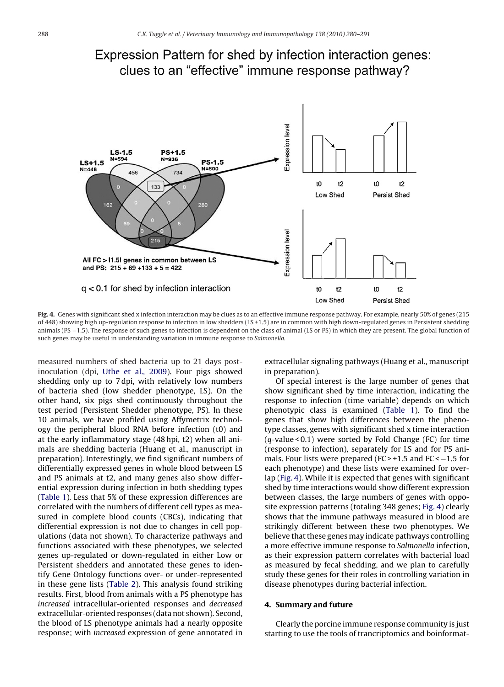

## Expression Pattern for shed by infection interaction genes: clues to an "effective" immune response pathway?

**Fig. 4.** Genes with significant shed x infection interaction may be clues as to an effective immune response pathway. For example, nearly 50% of genes (215 of 448) showing high up-regulation response to infection in low shedders (LS +1.5) are in common with high down-regulated genes in Persistent shedding animals (PS −1.5). The response of such genes to infection is dependent on the class of animal (LS or PS) in which they are present. The global function of such genes may be useful in understanding variation in immune response to Salmonella.

measured numbers of shed bacteria up to 21 days postinoculation (dpi, [Uthe et al., 2009\).](#page-10-0) Four pigs showed shedding only up to 7 dpi, with relatively low numbers of bacteria shed (low shedder phenotype, LS). On the other hand, six pigs shed continuously throughout the test period (Persistent Shedder phenotype, PS). In these 10 animals, we have profiled using Affymetrix technology the peripheral blood RNA before infection (t0) and at the early inflammatory stage (48 hpi, t2) when all animals are shedding bacteria (Huang et al., manuscript in preparation). Interestingly, we find significant numbers of differentially expressed genes in whole blood between LS and PS animals at t2, and many genes also show differential expression during infection in both shedding types [\(Table 1\).](#page-7-0) Less that 5% of these expression differences are correlated with the numbers of different cell types as measured in complete blood counts (CBCs), indicating that differential expression is not due to changes in cell populations (data not shown). To characterize pathways and functions associated with these phenotypes, we selected genes up-regulated or down-regulated in either Low or Persistent shedders and annotated these genes to identify Gene Ontology functions over- or under-represented in these gene lists [\(Table 2\).](#page-7-0) This analysis found striking results. First, blood from animals with a PS phenotype has increased intracellular-oriented responses and decreased extracellular-oriented responses (data not shown). Second, the blood of LS phenotype animals had a nearly opposite response; with increased expression of gene annotated in

extracellular signaling pathways (Huang et al., manuscript in preparation).

Of special interest is the large number of genes that show significant shed by time interaction, indicating the response to infection (time variable) depends on which phenotypic class is examined [\(Table 1\)](#page-7-0). To find the genes that show high differences between the phenotype classes, genes with significant shed x time interaction  $(q$ -value < 0.1) were sorted by Fold Change (FC) for time (response to infection), separately for LS and for PS animals. Four lists were prepared (FC > +1.5 and FC < -1.5 for each phenotype) and these lists were examined for overlap (Fig. 4). While it is expected that genes with significant shed by time interactions would show different expression between classes, the large numbers of genes with opposite expression patterns (totaling 348 genes; Fig. 4) clearly shows that the immune pathways measured in blood are strikingly different between these two phenotypes. We believe that these genes may indicate pathways controlling a more effective immune response to Salmonella infection, as their expression pattern correlates with bacterial load as measured by fecal shedding, and we plan to carefully study these genes for their roles in controlling variation in disease phenotypes during bacterial infection.

#### **4. Summary and future**

Clearly the porcine immune response community is just starting to use the tools of trancriptomics and boinformat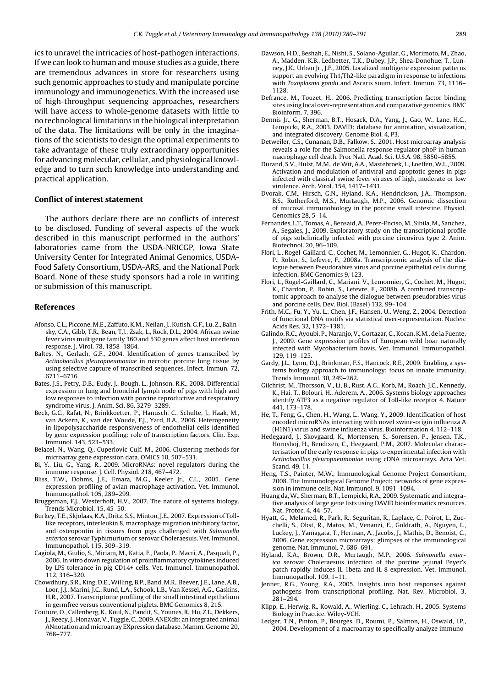<span id="page-9-0"></span>ics to unravel the intricacies of host-pathogen interactions. If we can look to human and mouse studies as a guide, there are tremendous advances in store for researchers using such genomic approaches to study and manipulate porcine immunology and immunogenetics. With the increased use of high-throughput sequencing approaches, researchers will have access to whole-genome datasets with little to no technological limitations in the biological interpretation of the data. The limitations will be only in the imaginations of the scientists to design the optimal experiments to take advantage of these truly extraordinary opportunities for advancing molecular, cellular, and physiological knowledge and to turn such knowledge into understanding and practical application.

#### **Conflict of interest statement**

The authors declare there are no conflicts of interest to be disclosed. Funding of several aspects of the work described in this manuscript performed in the authors' laboratories came from the USDA-NRICGP, Iowa State University Center for Integrated Animal Genomics, USDA-Food Safety Consortium, USDA-ARS, and the National Pork Board. None of these study sponsors had a role in writing or submission of this manuscript.

#### **References**

- Afonso, C.L., Piccone, M.E., Zaffuto, K.M., Neilan, J., Kutish, G.F., Lu, Z., Balinsky, C.A., Gibb, T.R., Bean, T.J., Zsak, L., Rock, D.L., 2004. African swine fever virus multigene family 360 and 530 genes affect host interferon response. J. Virol. 78, 1858–1864.
- Baltes, N., Gerlach, G.F., 2004. Identification of genes transcribed by Actinobacillus pleuropneumoniae in necrotic porcine lung tissue by using selective capture of transcribed sequences. Infect. Immun. 72, 6711–6716.
- Bates, J.S., Petry, D.B., Eudy, J., Bough, L., Johnson, R.K., 2008. Differential expression in lung and bronchial lymph node of pigs with high and low responses to infection with porcine reproductive and respiratory syndrome virus. J. Anim. Sci. 86, 3279–3289.
- Beck, G.C., Rafat, N., Brinkkoetter, P., Hanusch, C., Schulte, J., Haak, M., van Ackern, K., van der Woude, F.J., Yard, B.A., 2006. Heterogeneity in lipopolysaccharide responsiveness of endothelial cells identified by gene expression profiling: role of transcription factors. Clin. Exp. Immunol. 143, 523–533.
- Belacel, N., Wang, Q., Cuperlovic-Culf, M., 2006. Clustering methods for microarray gene expression data. OMICS 10, 507–531.
- Bi, Y., Liu, G., Yang, R., 2009. MicroRNAs: novel regulators during the immune response. J. Cell. Physiol. 218, 467–472.
- Bliss, T.W., Dohms, J.E., Emara, M.G., Keeler Jr., C.L., 2005. Gene expression profiling of avian macrophage activation. Vet. Immunol. Immunopathol. 105, 289–299.
- Bruggeman, F.J., Westerhoff, H.V., 2007. The nature of systems biology. Trends Microbiol. 15, 45–50.
- Burkey, T.E., Skjolaas, K.A., Dritz, S.S., Minton, J.E., 2007. Expression of Tolllike receptors, interleukin 8, macrophage migration inhibitory factor, and osteopontin in tissues from pigs challenged with Salmonella enterica serovar Typhimurium or serovar Choleraesuis. Vet. Immunol. Immunopathol. 115, 309–319.
- Cagiola, M., Giulio, S., Miriam, M., Katia, F., Paola, P., Macri, A., Pasquali, P., 2006. In vitro down regulation of proinflammatory cytokines induced by LPS tolerance in pig CD14+ cells. Vet. Immunol. Immunopathol. 112, 316–320.
- Chowdhury, S.R., King, D.E., Willing, B.P., Band, M.R., Beever, J.E., Lane, A.B., Loor, J.J., Marini, J.C., Rund, L.A., Schook, L.B., Van Kessel, A.G., Gaskins, H.R., 2007. Transcriptome profiling of the small intestinal epithelium in germfree versus conventional piglets. BMC Genomics 8, 215.
- Couture, O., Callenberg, K., Koul, N., Pandit, S., Younes, R., Hu, Z.L., Dekkers, J., Reecy, J., Honavar, V., Tuggle, C., 2009. ANEXdb: an integrated animal ANnotation and microarray EXpression database. Mamm. Genome 20, 768–777.
- Dawson, H.D., Beshah, E., Nishi, S., Solano-Aguilar, G., Morimoto, M., Zhao, A., Madden, K.B., Ledbetter, T.K., Dubey, J.P., Shea-Donohue, T., Lunney, J.K., Urban Jr., J.F., 2005. Localized multigene expression patterns support an evolving Th1/Th2-like paradigm in response to infections with Toxoplasma gondii and Ascaris suum. Infect. Immun. 73, 1116– 1128.
- Defrance, M., Touzet, H., 2006. Predicting transcription factor binding sites using local over-representation and comparative genomics. BMC Bioinform. 7, 396.
- Dennis Jr., G., Sherman, B.T., Hosack, D.A., Yang, J., Gao, W., Lane, H.C., Lempicki, R.A., 2003. DAVID: database for annotation, visualization, and integrated discovery. Genome Biol. 4, P3.
- Detweiler, C.S., Cunanan, D.B., Falkow, S., 2001. Host microarray analysis reveals a role for the Salmonella response regulator phoP in human macrophage cell death. Proc Natl. Acad. Sci. U.S.A. 98, 5850–5855.
- Durand, S.V., Hulst, M.M., de Wit, A.A., Mastebroek, L., Loeffen, W.L., 2009. Activation and modulation of antiviral and apoptotic genes in pigs infected with classical swine fever viruses of high, moderate or low virulence. Arch. Virol. 154, 1417–1431.
- Dvorak, C.M., Hirsch, G.N., Hyland, K.A., Hendrickson, J.A., Thompson, B.S., Rutherford, M.S., Murtaugh, M.P., 2006. Genomic dissection of mucosal immunobiology in the porcine small intestine. Physiol. Genomics 28, 5–14.
- Fernandes, L.T., Tomas, A., Bensaid, A., Perez-Enciso, M., Sibila, M., Sanchez, A., Segales, J., 2009. Exploratory study on the transcriptional profile of pigs subclinically infected with porcine circovirus type 2. Anim. Biotechnol. 20, 96–109.
- Flori, L., Rogel-Gaillard, C., Cochet, M., Lemonnier, G., Hugot, K., Chardon, P., Robin, S., Lefevre, F., 2008a. Transcriptomic analysis of the dialogue between Pseudorabies virus and porcine epithelial cells during infection. BMC Genomics 9, 123.
- Flori, L., Rogel-Gaillard, C., Mariani, V., Lemonnier, G., Cochet, M., Hugot, K., Chardon, P., Robin, S., Lefevre, F., 2008b. A combined transcriptomic approach to analyse the dialogue between pseudorabies virus and porcine cells. Dev. Biol. (Basel) 132, 99–104.
- Frith, M.C., Fu, Y., Yu, L., Chen, J.F., Hansen, U., Weng, Z., 2004. Detection of functional DNA motifs via statistical over-representation. Nucleic Acids Res. 32, 1372–1381.
- Galindo, R.C., Ayoubi, P., Naranjo, V., Gortazar, C., Kocan, K.M., de la Fuente, J., 2009. Gene expression profiles of European wild boar naturally infected with Mycobacterium bovis. Vet. Immunol. Immunopathol. 129, 119–125.
- Gardy, J.L., Lynn, D.J., Brinkman, F.S., Hancock, R.E., 2009. Enabling a systems biology approach to immunology: focus on innate immunity. Trends Immunol. 30, 249–262.
- Gilchrist, M., Thorsson, V., Li, B., Rust, A.G., Korb, M., Roach, J.C., Kennedy, K., Hai, T., Bolouri, H., Aderem, A., 2006. Systems biology approaches identify ATF3 as a negative regulator of Toll-like receptor 4. Nature 441, 173–178.
- He, T., Feng, G., Chen, H., Wang, L., Wang, Y., 2009. Identification of host encoded microRNAs interacting with novel swine-origin influenza A (H1N1) virus and swine influenza virus. Bioinformation 4, 112–118.
- Hedegaard, J., Skovgaard, K., Mortensen, S., Sorensen, P., Jensen, T.K., Hornshoj, H., Bendixen, C., Heegaard, P.M., 2007. Molecular characterisation of the early response in pigs to experimental infection with Actinobacillus pleuropneumoniae using cDNA microarrays. Acta Vet. Scand. 49, 11.
- Heng, T.S., Painter, M.W., Immunological Genome Project Consortium, 2008. The Immunological Genome Project: networks of gene expression in immune cells. Nat. Immunol. 9, 1091–1094.
- Huang da, W., Sherman, B.T., Lempicki, R.A., 2009. Systematic and integrative analysis of large gene lists using DAVID bioinformatics resources. Nat. Protoc. 4, 44–57.
- Hyatt, G., Melamed, R., Park, R., Seguritan, R., Laplace, C., Poirot, L., Zucchelli, S., Obst, R., Matos, M., Venanzi, E., Goldrath, A., Nguyen, L., Luckey, J., Yamagata, T., Herman, A., Jacobs, J., Mathis, D., Benoist, C., 2006. Gene expression microarrays: glimpses of the immunological genome. Nat. Immunol. 7, 686–691.
- Hyland, K.A., Brown, D.R., Murtaugh, M.P., 2006. Salmonella enterica serovar Choleraesuis infection of the porcine jejunal Peyer's patch rapidly induces IL-1beta and IL-8 expression. Vet. Immunol. Immunopathol. 109, 1–11.
- Jenner, R.G., Young, R.A., 2005. Insights into host responses against pathogens from transcriptional profiling. Nat. Rev. Microbiol. 3, 281–294.
- Klipp, E., Herwig, R., Kowald, A., Wierling, C., Lehrach, H., 2005. Systems Biology in Practice. Wiley-VCH.
- Ledger, T.N., Pinton, P., Bourges, D., Roumi, P., Salmon, H., Oswald, I.P., 2004. Development of a macroarray to specifically analyze immuno-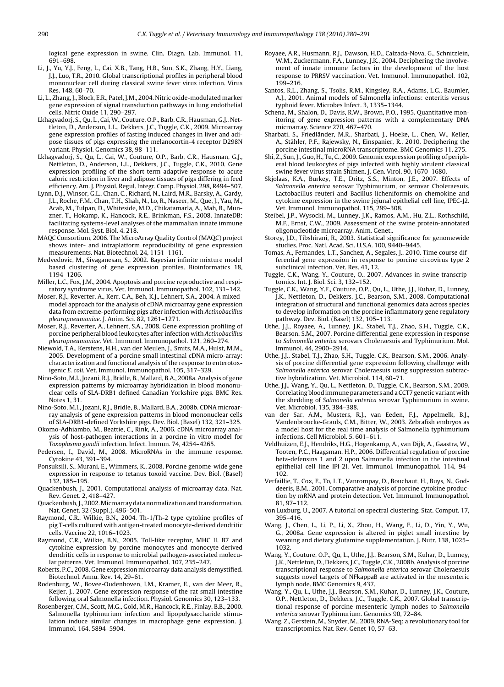<span id="page-10-0"></span>logical gene expression in swine. Clin. Diagn. Lab. Immunol. 11, 691–698.

- Li, J., Yu, Y.J., Feng, L., Cai, X.B., Tang, H.B., Sun, S.K., Zhang, H.Y., Liang, J.J., Luo, T.R., 2010. Global transcriptional profiles in peripheral blood mononuclear cell during classical swine fever virus infection. Virus Res. 148, 60–70.
- Li, L., Zhang, J., Block, E.R., Patel, J.M., 2004. Nitric oxide-modulated marker gene expression of signal transduction pathways in lung endothelial cells. Nitric Oxide 11, 290–297.
- Lkhagvadorj, S., Qu, L., Cai, W., Couture, O.P., Barb, C.R., Hausman, G.J., Nettleton, D., Anderson, L.L., Dekkers, J.C., Tuggle, C.K., 2009. Microarray gene expression profiles of fasting induced changes in liver and adipose tissues of pigs expressing the melanocortin-4 receptor D298N variant. Physiol. Genomics 38, 98–111.
- Lkhagvadorj, S., Qu, L., Cai, W., Couture, O.P., Barb, C.R., Hausman, G.J., Nettleton, D., Anderson, L.L., Dekkers, J.C., Tuggle, C.K., 2010. Gene expression profiling of the short-term adaptive response to acute caloric restriction in liver and adipose tissues of pigs differing in feed efficiency. Am. J. Physiol. Regul. Integr. Comp. Physiol. 298, R494–507.
- Lynn, D.J., Winsor, G.L., Chan, C., Richard, N., Laird, M.R., Barsky, A., Gardy, J.L., Roche, F.M., Chan, T.H., Shah, N., Lo, R., Naseer, M., Que, J., Yau, M., Acab, M., Tulpan, D., Whiteside, M.D., Chikatamarla, A., Mah, B., Munzner, T., Hokamp, K., Hancock, R.E., Brinkman, F.S., 2008. InnateDB: facilitating systems-level analyses of the mammalian innate immune response. Mol. Syst. Biol. 4, 218.
- MAQC Consortium, 2006. The MicroArray Quality Control (MAQC) project shows inter- and intraplatform reproducibility of gene expression measurements. Nat. Biotechnol. 24, 1151–1161.
- Medvedovic, M., Sivaganesan, S., 2002. Bayesian infinite mixture model based clustering of gene expression profiles. Bioinformatics 18, 1194–1206.
- Miller, L.C., Fox, J.M., 2004. Apoptosis and porcine reproductive and respiratory syndrome virus. Vet. Immunol. Immunopathol. 102, 131–142.
- Moser, R.J., Reverter, A., Kerr, C.A., Beh, K.J., Lehnert, S.A., 2004. A mixedmodel approach for the analysis of cDNA microarray gene expression data from extreme-performing pigs after infection with Actinobacillus pleuropneumoniae. J. Anim. Sci. 82, 1261–1271.
- Moser, R.J., Reverter, A., Lehnert, S.A., 2008. Gene expression profiling of porcine peripheral blood leukocytes after infection with Actinobacillus pleuropneumoniae. Vet. Immunol. Immunopathol. 121, 260–274.
- Niewold, T.A., Kerstens, H.H., van der Meulen, J., Smits, M.A., Hulst, M.M., 2005. Development of a porcine small intestinal cDNA micro-array: characterization and functional analysis of the response to enterotoxigenic E. coli. Vet. Immunol. Immunopathol. 105, 317–329.
- Nino-Soto, M.I., Jozani, R.J., Bridle, B., Mallard, B.A., 2008a. Analysis of gene expression patterns by microarray hybridization in blood mononuclear cells of SLA-DRB1 defined Canadian Yorkshire pigs. BMC Res. Notes 1, 31.
- Nino-Soto, M.I., Jozani, R.J., Bridle, B., Mallard, B.A., 2008b. CDNA microarray analysis of gene expression patterns in blood mononuclear cells of SLA-DRB1-defined Yorkshire pigs. Dev. Biol. (Basel) 132, 321–325.
- Okomo-Adhiambo, M., Beattie, C., Rink, A., 2006. cDNA microarray analysis of host-pathogen interactions in a porcine in vitro model for Toxoplasma gondii infection. Infect. Immun. 74, 4254–4265.
- Pedersen, I., David, M., 2008. MicroRNAs in the immune response. Cytokine 43, 391–394.
- Ponsuksili, S., Murani, E., Wimmers, K., 2008. Porcine genome-wide gene expression in response to tetanus toxoid vaccine. Dev. Biol. (Basel) 132, 185–195.
- Quackenbush, J., 2001. Computational analysis of microarray data. Nat. Rev. Genet. 2, 418–427.
- Quackenbush, J., 2002.Microarray data normalization and transformation. Nat. Genet. 32 (Suppl.), 496–501.
- Raymond, C.R., Wilkie, B.N., 2004. Th-1/Th-2 type cytokine profiles of pig T-cells cultured with antigen-treated monocyte-derived dendritic cells. Vaccine 22, 1016–1023.
- Raymond, C.R., Wilkie, B.N., 2005. Toll-like receptor, MHC II. B7 and cytokine expression by porcine monocytes and monocyte-derived dendritic cells in response to microbial pathogen-associated molecular patterns. Vet. Immunol. Immunopathol. 107, 235–247.
- Roberts, P.C., 2008. Gene expression microarray data analysis demystified. Biotechnol. Annu. Rev. 14, 29–61.
- Rodenburg, W., Bovee-Oudenhoven, I.M., Kramer, E., van der Meer, R., Keijer, J., 2007. Gene expression response of the rat small intestine following oral Salmonella infection. Physiol. Genomics 30, 123–133.
- Rosenberger, C.M., Scott, M.G., Gold, M.R., Hancock, R.E., Finlay, B.B., 2000. Salmonella typhimurium infection and lipopolysaccharide stimulation induce similar changes in macrophage gene expression. J. Immunol. 164, 5894–5904.
- Royaee, A.R., Husmann, R.J., Dawson, H.D., Calzada-Nova, G., Schnitzlein, W.M., Zuckermann, F.A., Lunney, J.K., 2004. Deciphering the involvement of innate immune factors in the development of the host response to PRRSV vaccination. Vet. Immunol. Immunopathol. 102, 199–216.
- Santos, R.L., Zhang, S., Tsolis, R.M., Kingsley, R.A., Adams, L.G., Baumler, A.J., 2001. Animal models of Salmonella infections: enteritis versus typhoid fever. Microbes Infect. 3, 1335–1344.
- Schena, M., Shalon, D., Davis, R.W., Brown, P.O., 1995. Quantitative monitoring of gene expression patterns with a complementary DNA microarray. Science 270, 467–470.
- Sharbati, S., Friedländer, M.R., Sharbati, J., Hoeke, L., Chen, W., Keller, A., Stähler, P.F., Rajewsky, N., Einspanier, R., 2010. Deciphering the porcine intestinal microRNA transcriptome. BMC Genomics 11, 275.
- Shi, Z., Sun, J., Guo, H., Tu, C., 2009. Genomic expression profiling of peripheral blood leukocytes of pigs infected with highly virulent classical
- swine fever virus strain Shimen. J. Gen. Virol. 90, 1670–1680. Skjolaas, K.A., Burkey, T.E., Dritz, S.S., Minton, J.E., 2007. Effects of Salmonella enterica serovar Typhimurium, or serovar Choleraesuis. Lactobacillus reuteri and Bacillus licheniformis on chemokine and cytokine expression in the swine jejunal epithelial cell line, IPEC-J2. Vet. Immunol. Immunopathol. 115, 299–308.
- Steibel, J.P., Wysocki, M., Lunney, J.K., Ramos, A.M., Hu, Z.L., Rothschild, M.F., Ernst, C.W., 2009. Assessment of the swine protein-annotated oligonucleotide microarray. Anim. Genet..
- Storey, J.D., Tibshirani, R., 2003. Statistical significance for genomewide studies. Proc. Natl. Acad. Sci. U.S.A. 100, 9440–9445.
- Tomas, A., Fernandes, L.T., Sanchez, A., Segales, J., 2010. Time course differential gene expression in response to porcine circovirus type 2 subclinical infection. Vet. Res. 41, 12.
- Tuggle, C.K., Wang, Y., Couture, O., 2007. Advances in swine transcriptomics. Int. J. Biol. Sci. 3, 132–152.
- Tuggle, C.K., Wang, Y.F., Couture, O.P., Qu, L., Uthe, J.J., Kuhar, D., Lunney, J.K., Nettleton, D., Dekkers, J.C., Bearson, S.M., 2008. Computational integration of structural and functional genomics data across species to develop information on the porcine inflammatory gene regulatory pathway. Dev. Biol. (Basel) 132, 105–113.
- Uthe, J.J., Royaee, A., Lunney, J.K., Stabel, T.J., Zhao, S.H., Tuggle, C.K., Bearson, S.M., 2007. Porcine differential gene expression in response to Salmonella enterica serovars Choleraesuis and Typhimurium. Mol. Immunol. 44, 2900–2914.
- Uthe, J.J., Stabel, T.J., Zhao, S.H., Tuggle, C.K., Bearson, S.M., 2006. Analysis of porcine differential gene expression following challenge with Salmonella enterica serovar Choleraesuis using suppression subtractive hybridization. Vet. Microbiol. 114, 60–71.
- Uthe, J.J., Wang, Y., Qu, L., Nettleton, D., Tuggle, C.K., Bearson, S.M., 2009. Correlating blood immune parameters and a CCT7 genetic variant with the shedding of Salmonella enterica serovar Typhimurium in swine. Vet. Microbiol. 135, 384–388.
- van der Sar, A.M., Musters, R.J., van Eeden, F.J., Appelmelk, B.J., Vandenbroucke-Grauls, C.M., Bitter, W., 2003. Zebrafish embryos as a model host for the real time analysis of Salmonella typhimurium infections. Cell Microbiol. 5, 601–611.
- Veldhuizen, E.J., Hendriks, H.G., Hogenkamp, A., van Dijk, A., Gaastra, W., Tooten, P.C., Haagsman, H.P., 2006. Differential regulation of porcine beta-defensins 1 and 2 upon Salmonella infection in the intestinal epithelial cell line IPI-2I. Vet. Immunol. Immunopathol. 114, 94– 102.
- Verfaillie, T., Cox, E., To, L.T., Vanrompay, D., Bouchaut, H., Buys, N., Goddeeris, B.M., 2001. Comparative analysis of porcine cytokine production by mRNA and protein detection. Vet. Immunol. Immunopathol. 81, 97–112.
- von Luxburg, U., 2007. A tutorial on spectral clustering. Stat. Comput. 17, 395–416.
- Wang, J., Chen, L., Li, P., Li, X., Zhou, H., Wang, F., Li, D., Yin, Y., Wu, G., 2008a. Gene expression is altered in piglet small intestine by weaning and dietary glutamine supplementation. J. Nutr. 138, 1025– 1032.
- Wang, Y., Couture, O.P., Qu, L., Uthe, J.J., Bearson, S.M., Kuhar, D., Lunney, J.K., Nettleton, D., Dekkers, J.C., Tuggle, C.K., 2008b. Analysis of porcine transcriptional response to Salmonella enterica serovar Choleraesuis suggests novel targets of NFkappaB are activated in the mesenteric lymph node. BMC Genomics 9, 437.
- Wang, Y., Qu, L., Uthe, J.J., Bearson, S.M., Kuhar, D., Lunney, J.K., Couture, O.P., Nettleton, D., Dekkers, J.C., Tuggle, C.K., 2007. Global transcriptional response of porcine mesenteric lymph nodes to Salmonella enterica serovar Typhimurium. Genomics 90, 72–84.
- Wang, Z., Gerstein, M., Snyder, M., 2009. RNA-Seq: a revolutionary tool for transcriptomics. Nat. Rev. Genet 10, 57–63.